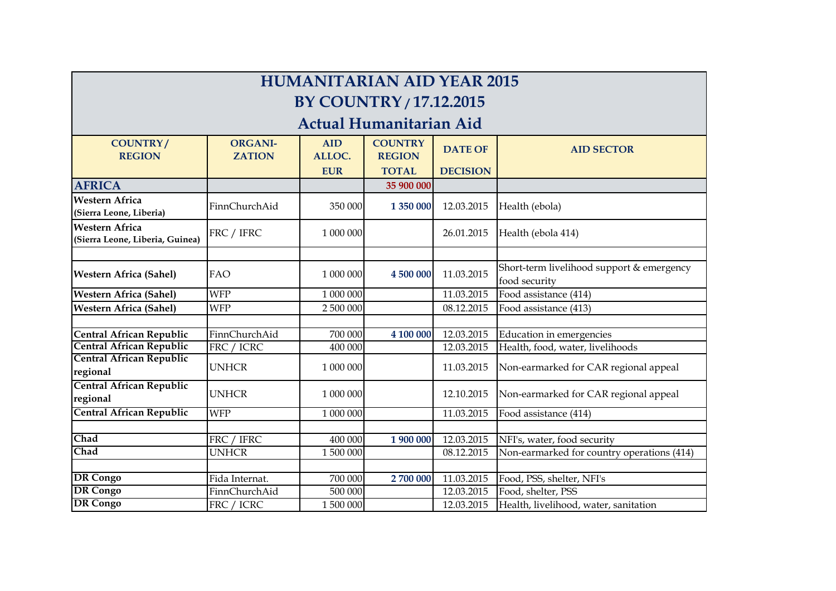| <b>HUMANITARIAN AID YEAR 2015</b>                        |                                 |                      |                                 |                 |                                                            |  |  |
|----------------------------------------------------------|---------------------------------|----------------------|---------------------------------|-----------------|------------------------------------------------------------|--|--|
| <b>BY COUNTRY / 17.12.2015</b>                           |                                 |                      |                                 |                 |                                                            |  |  |
|                                                          |                                 |                      | <b>Actual Humanitarian Aid</b>  |                 |                                                            |  |  |
| <b>COUNTRY/</b><br><b>REGION</b>                         | <b>ORGANI-</b><br><b>ZATION</b> | <b>AID</b><br>ALLOC. | <b>COUNTRY</b><br><b>REGION</b> | <b>DATE OF</b>  | <b>AID SECTOR</b>                                          |  |  |
|                                                          |                                 | <b>EUR</b>           | <b>TOTAL</b>                    | <b>DECISION</b> |                                                            |  |  |
| <b>AFRICA</b>                                            |                                 |                      | 35 900 000                      |                 |                                                            |  |  |
| <b>Western Africa</b><br>(Sierra Leone, Liberia)         | FinnChurchAid                   | 350 000              | 1 350 000                       | 12.03.2015      | Health (ebola)                                             |  |  |
| <b>Western Africa</b><br>(Sierra Leone, Liberia, Guinea) | FRC / IFRC                      | 1 000 000            |                                 | 26.01.2015      | Health (ebola 414)                                         |  |  |
|                                                          |                                 |                      |                                 |                 |                                                            |  |  |
| <b>Western Africa (Sahel)</b>                            | FAO                             | 1 000 000            | 4 500 000                       | 11.03.2015      | Short-term livelihood support & emergency<br>food security |  |  |
| <b>Western Africa (Sahel)</b>                            | <b>WFP</b>                      | 1 000 000            |                                 | 11.03.2015      | Food assistance (414)                                      |  |  |
| <b>Western Africa (Sahel)</b>                            | <b>WFP</b>                      | 2 500 000            |                                 | 08.12.2015      | Food assistance (413)                                      |  |  |
|                                                          |                                 |                      |                                 |                 |                                                            |  |  |
| Central African Republic                                 | FinnChurchAid                   | 700 000              | 4 100 000                       | 12.03.2015      | Education in emergencies                                   |  |  |
| <b>Central African Republic</b>                          | FRC / ICRC                      | 400 000              |                                 | 12.03.2015      | Health, food, water, livelihoods                           |  |  |
| <b>Central African Republic</b><br>regional              | <b>UNHCR</b>                    | 1 000 000            |                                 | 11.03.2015      | Non-earmarked for CAR regional appeal                      |  |  |
| <b>Central African Republic</b><br>regional              | <b>UNHCR</b>                    | 1 000 000            |                                 | 12.10.2015      | Non-earmarked for CAR regional appeal                      |  |  |
| Central African Republic                                 | <b>WFP</b>                      | 1 000 000            |                                 | 11.03.2015      | Food assistance (414)                                      |  |  |
|                                                          |                                 |                      |                                 |                 |                                                            |  |  |
| Chad                                                     | FRC / IFRC                      | 400 000              | 1 900 000                       | 12.03.2015      | NFI's, water, food security                                |  |  |
| Chad                                                     | <b>UNHCR</b>                    | 1 500 000            |                                 | 08.12.2015      | Non-earmarked for country operations (414)                 |  |  |
|                                                          |                                 |                      |                                 |                 |                                                            |  |  |
| <b>DR</b> Congo                                          | Fida Internat.                  | 700 000              | 2700 000                        | 11.03.2015      | Food, PSS, shelter, NFI's                                  |  |  |
| <b>DR</b> Congo                                          | FinnChurchAid                   | 500 000              |                                 | 12.03.2015      | Food, shelter, PSS                                         |  |  |
| <b>DR</b> Congo                                          | FRC / ICRC                      | 1 500 000            |                                 | 12.03.2015      | Health, livelihood, water, sanitation                      |  |  |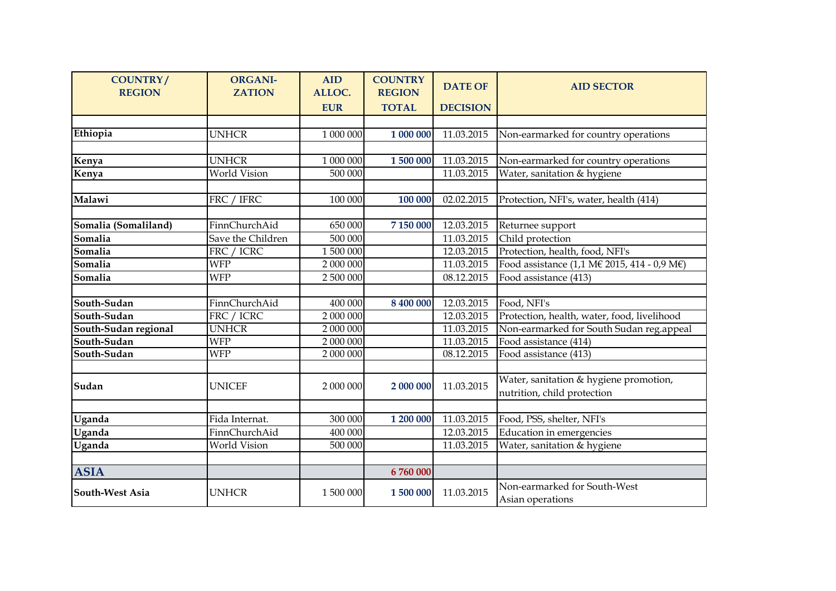| <b>COUNTRY/</b><br><b>REGION</b> | <b>ORGANI-</b><br><b>ZATION</b> | <b>AID</b><br>ALLOC. | <b>COUNTRY</b><br><b>REGION</b> | <b>DATE OF</b>  | <b>AID SECTOR</b>                                |
|----------------------------------|---------------------------------|----------------------|---------------------------------|-----------------|--------------------------------------------------|
|                                  |                                 | <b>EUR</b>           | <b>TOTAL</b>                    | <b>DECISION</b> |                                                  |
|                                  |                                 |                      |                                 |                 |                                                  |
| Ethiopia                         | <b>UNHCR</b>                    | 1 000 000            | 1 000 000                       | 11.03.2015      | Non-earmarked for country operations             |
|                                  |                                 |                      |                                 |                 |                                                  |
| Kenya                            | <b>UNHCR</b>                    | 1 000 000            | 1 500 000                       | 11.03.2015      | Non-earmarked for country operations             |
| Kenya                            | World Vision                    | 500 000              |                                 | 11.03.2015      | Water, sanitation & hygiene                      |
|                                  |                                 |                      |                                 |                 |                                                  |
| Malawi                           | FRC / IFRC                      | 100 000              | 100 000                         | 02.02.2015      | Protection, NFI's, water, health (414)           |
|                                  |                                 |                      |                                 |                 |                                                  |
| Somalia (Somaliland)             | FinnChurchAid                   | 650 000              | 7 150 000                       | 12.03.2015      | Returnee support                                 |
| Somalia                          | Save the Children               | 500 000              |                                 | 11.03.2015      | Child protection                                 |
| Somalia                          | FRC / ICRC                      | 1 500 000            |                                 | 12.03.2015      | Protection, health, food, NFI's                  |
| Somalia                          | <b>WFP</b>                      | 2 000 000            |                                 | 11.03.2015      | Food assistance (1,1 M€ 2015, 414 - 0,9 M€)      |
| Somalia                          | <b>WFP</b>                      | 2 500 000            |                                 | 08.12.2015      | Food assistance (413)                            |
|                                  |                                 |                      |                                 |                 |                                                  |
| South-Sudan                      | FinnChurchAid                   | 400 000              | 8 400 000                       | 12.03.2015      | Food, NFI's                                      |
| South-Sudan                      | FRC / ICRC                      | 2 000 000            |                                 | 12.03.2015      | Protection, health, water, food, livelihood      |
| South-Sudan regional             | <b>UNHCR</b>                    | 2 000 000            |                                 | 11.03.2015      | Non-earmarked for South Sudan reg.appeal         |
| South-Sudan                      | <b>WFP</b>                      | 2 000 000            |                                 | 11.03.2015      | Food assistance (414)                            |
| South-Sudan                      | <b>WFP</b>                      | 2 000 000            |                                 | 08.12.2015      | Food assistance (413)                            |
|                                  |                                 |                      |                                 |                 |                                                  |
| Sudan                            | <b>UNICEF</b>                   | 2 000 000            | 2 000 000                       | 11.03.2015      | Water, sanitation & hygiene promotion,           |
|                                  |                                 |                      |                                 |                 | nutrition, child protection                      |
|                                  |                                 |                      |                                 |                 |                                                  |
| Uganda                           | Fida Internat.                  | 300 000              | 1 200 000                       | 11.03.2015      | Food, PSS, shelter, NFI's                        |
| Uganda                           | FinnChurchAid                   | 400 000              |                                 | 12.03.2015      | Education in emergencies                         |
| Uganda                           | World Vision                    | 500 000              |                                 | 11.03.2015      | Water, sanitation & hygiene                      |
|                                  |                                 |                      |                                 |                 |                                                  |
| <b>ASIA</b>                      |                                 |                      | 6760000                         |                 |                                                  |
| South-West Asia                  | <b>UNHCR</b>                    | 1 500 000            | 1 500 000                       | 11.03.2015      | Non-earmarked for South-West<br>Asian operations |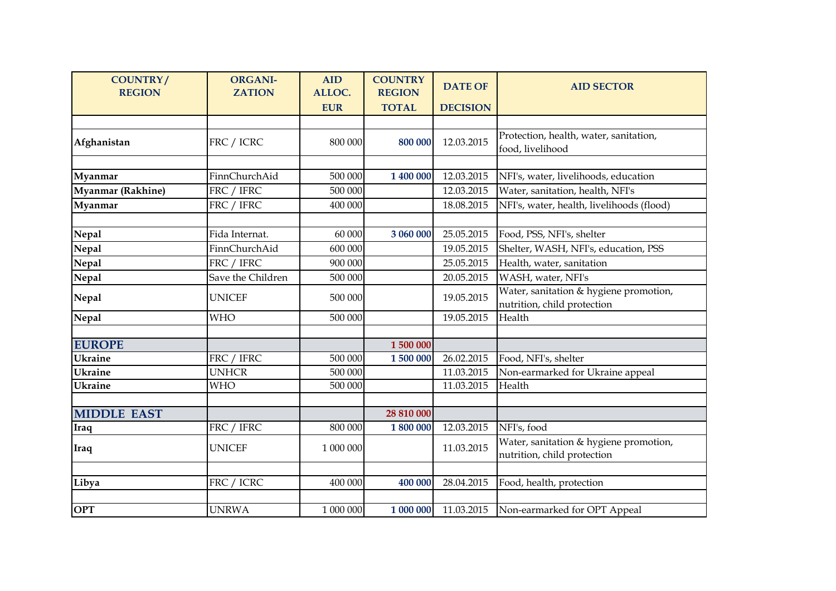| <b>COUNTRY/</b><br><b>REGION</b> | <b>ORGANI-</b><br><b>ZATION</b> | <b>AID</b><br>ALLOC. | <b>COUNTRY</b><br><b>REGION</b> | <b>DATE OF</b>  | <b>AID SECTOR</b>                                                     |
|----------------------------------|---------------------------------|----------------------|---------------------------------|-----------------|-----------------------------------------------------------------------|
|                                  |                                 | <b>EUR</b>           | <b>TOTAL</b>                    | <b>DECISION</b> |                                                                       |
| Afghanistan                      | FRC / ICRC                      | 800 000              | 800 000                         | 12.03.2015      | Protection, health, water, sanitation,<br>food, livelihood            |
|                                  |                                 |                      |                                 |                 |                                                                       |
| Myanmar                          | FinnChurchAid                   | 500 000              | 1 400 000                       | 12.03.2015      | NFI's, water, livelihoods, education                                  |
| <b>Myanmar (Rakhine)</b>         | FRC / IFRC                      | 500 000              |                                 | 12.03.2015      | Water, sanitation, health, NFI's                                      |
| Myanmar                          | FRC / IFRC                      | 400 000              |                                 | 18.08.2015      | NFI's, water, health, livelihoods (flood)                             |
|                                  |                                 |                      |                                 |                 |                                                                       |
| <b>Nepal</b>                     | Fida Internat.                  | 60 000               | 3 060 000                       | 25.05.2015      | Food, PSS, NFI's, shelter                                             |
| <b>Nepal</b>                     | FinnChurchAid                   | 600 000              |                                 | 19.05.2015      | Shelter, WASH, NFI's, education, PSS                                  |
| Nepal                            | FRC / IFRC                      | 900 000              |                                 | 25.05.2015      | Health, water, sanitation                                             |
| <b>Nepal</b>                     | Save the Children               | 500 000              |                                 | 20.05.2015      | WASH, water, NFI's                                                    |
| <b>Nepal</b>                     | <b>UNICEF</b>                   | 500 000              |                                 | 19.05.2015      | Water, sanitation & hygiene promotion,<br>nutrition, child protection |
| <b>Nepal</b>                     | <b>WHO</b>                      | 500 000              |                                 | 19.05.2015      | Health                                                                |
|                                  |                                 |                      |                                 |                 |                                                                       |
| <b>EUROPE</b>                    |                                 |                      | 1 500 000                       |                 |                                                                       |
| <b>Ukraine</b>                   | FRC / IFRC                      | 500 000              | 1500000                         | 26.02.2015      | Food, NFI's, shelter                                                  |
| <b>Ukraine</b>                   | <b>UNHCR</b>                    | 500 000              |                                 | 11.03.2015      | Non-earmarked for Ukraine appeal                                      |
| <b>Ukraine</b>                   | <b>WHO</b>                      | 500 000              |                                 | 11.03.2015      | Health                                                                |
|                                  |                                 |                      |                                 |                 |                                                                       |
| <b>MIDDLE EAST</b>               |                                 |                      | 28 810 000                      |                 |                                                                       |
| Iraq                             | FRC / IFRC                      | 800 000              | 1 800 000                       | 12.03.2015      | NFI's, food                                                           |
| Iraq                             | <b>UNICEF</b>                   | 1 000 000            |                                 | 11.03.2015      | Water, sanitation & hygiene promotion,<br>nutrition, child protection |
|                                  |                                 |                      |                                 |                 |                                                                       |
| Libya                            | FRC / ICRC                      | 400 000              | 400 000                         | 28.04.2015      | Food, health, protection                                              |
|                                  |                                 |                      |                                 |                 |                                                                       |
| <b>OPT</b>                       | <b>UNRWA</b>                    | 1 000 000            | 1 000 000                       | 11.03.2015      | Non-earmarked for OPT Appeal                                          |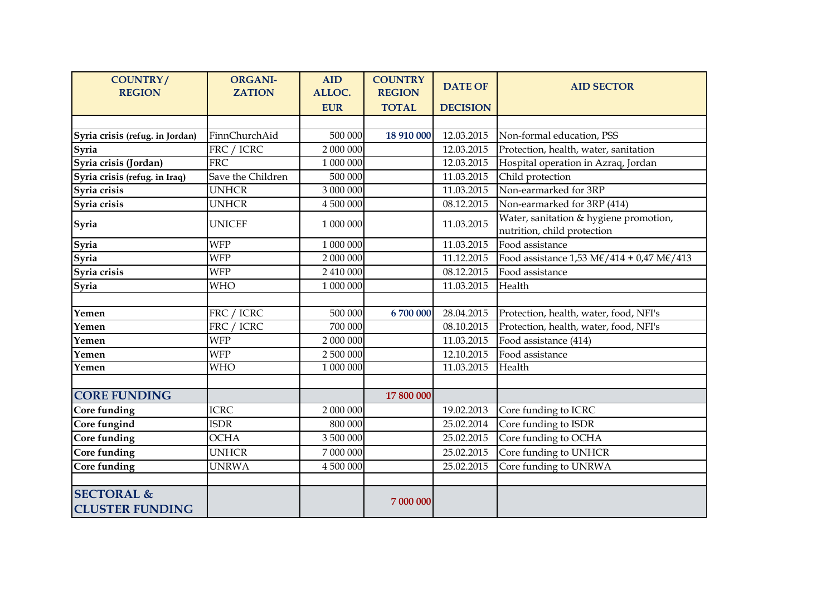| <b>COUNTRY/</b><br><b>REGION</b>                | <b>ORGANI-</b><br><b>ZATION</b> | <b>AID</b><br>ALLOC. | <b>COUNTRY</b><br><b>REGION</b> | <b>DATE OF</b>  | <b>AID SECTOR</b>                                                                                       |
|-------------------------------------------------|---------------------------------|----------------------|---------------------------------|-----------------|---------------------------------------------------------------------------------------------------------|
|                                                 |                                 | <b>EUR</b>           | <b>TOTAL</b>                    | <b>DECISION</b> |                                                                                                         |
|                                                 |                                 |                      |                                 |                 |                                                                                                         |
| Syria crisis (refug. in Jordan)                 | FinnChurchAid                   | 500 000              | 18 910 000                      | 12.03.2015      | Non-formal education, PSS                                                                               |
| Syria                                           | FRC / ICRC                      | 2 000 000            |                                 | 12.03.2015      | Protection, health, water, sanitation                                                                   |
| Syria crisis (Jordan)                           | <b>FRC</b>                      | 1 000 000            |                                 | 12.03.2015      | Hospital operation in Azraq, Jordan                                                                     |
| Syria crisis (refug. in Iraq)                   | Save the Children               | 500 000              |                                 | 11.03.2015      | Child protection                                                                                        |
| Syria crisis                                    | <b>UNHCR</b>                    | 3 000 000            |                                 | 11.03.2015      | Non-earmarked for 3RP                                                                                   |
| Syria crisis                                    | <b>UNHCR</b>                    | 4 500 000            |                                 | 08.12.2015      | Non-earmarked for 3RP (414)                                                                             |
| Syria                                           | <b>UNICEF</b>                   | 1 000 000            |                                 | 11.03.2015      | Water, sanitation & hygiene promotion,<br>nutrition, child protection                                   |
| Syria                                           | <b>WFP</b>                      | 1 000 000            |                                 | 11.03.2015      | Food assistance                                                                                         |
| Syria                                           | <b>WFP</b>                      | 2 000 000            |                                 | 11.12.2015      | Food assistance $1,53 \text{ M}\text{\textless}\text{/}414 + 0,47 \text{ M}\text{\textless}\text{/}413$ |
| Syria crisis                                    | <b>WFP</b>                      | 2 410 000            |                                 | 08.12.2015      | Food assistance                                                                                         |
| Syria                                           | <b>WHO</b>                      | 1 000 000            |                                 | 11.03.2015      | Health                                                                                                  |
|                                                 |                                 |                      |                                 |                 |                                                                                                         |
| Yemen                                           | FRC / ICRC                      | 500 000              | 6 700 000                       | 28.04.2015      | Protection, health, water, food, NFI's                                                                  |
| Yemen                                           | FRC / ICRC                      | 700 000              |                                 | 08.10.2015      | Protection, health, water, food, NFI's                                                                  |
| Yemen                                           | <b>WFP</b>                      | 2 000 000            |                                 | 11.03.2015      | Food assistance (414)                                                                                   |
| Yemen                                           | <b>WFP</b>                      | 2 500 000            |                                 | 12.10.2015      | Food assistance                                                                                         |
| Yemen                                           | <b>WHO</b>                      | 1 000 000            |                                 | 11.03.2015      | Health                                                                                                  |
|                                                 |                                 |                      |                                 |                 |                                                                                                         |
| <b>CORE FUNDING</b>                             |                                 |                      | 17 800 000                      |                 |                                                                                                         |
| <b>Core funding</b>                             | <b>ICRC</b>                     | 2 000 000            |                                 | 19.02.2013      | Core funding to ICRC                                                                                    |
| Core fungind                                    | <b>ISDR</b>                     | 800 000              |                                 | 25.02.2014      | Core funding to ISDR                                                                                    |
| <b>Core funding</b>                             | <b>OCHA</b>                     | 3 500 000            |                                 | 25.02.2015      | Core funding to OCHA                                                                                    |
| Core funding                                    | <b>UNHCR</b>                    | 7 000 000            |                                 | 25.02.2015      | Core funding to UNHCR                                                                                   |
| Core funding                                    | <b>UNRWA</b>                    | 4 500 000            |                                 | 25.02.2015      | Core funding to UNRWA                                                                                   |
|                                                 |                                 |                      |                                 |                 |                                                                                                         |
| <b>SECTORAL &amp;</b><br><b>CLUSTER FUNDING</b> |                                 |                      | 7 000 000                       |                 |                                                                                                         |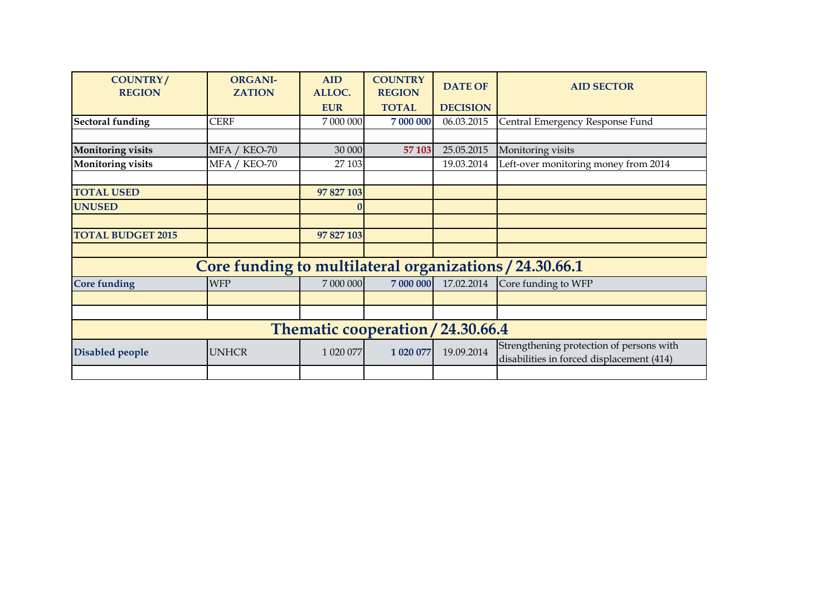| <b>COUNTRY/</b><br><b>REGION</b>  | <b>ORGANI-</b><br><b>ZATION</b>                         | <b>AID</b><br>ALLOC. | <b>COUNTRY</b><br><b>REGION</b> | <b>DATE OF</b>  | <b>AID SECTOR</b>                                                                     |  |  |
|-----------------------------------|---------------------------------------------------------|----------------------|---------------------------------|-----------------|---------------------------------------------------------------------------------------|--|--|
|                                   |                                                         | <b>EUR</b>           | <b>TOTAL</b>                    | <b>DECISION</b> |                                                                                       |  |  |
| <b>Sectoral funding</b>           | <b>CERF</b>                                             | 7 000 000            | 7 000 000                       | 06.03.2015      | Central Emergency Response Fund                                                       |  |  |
|                                   |                                                         |                      |                                 |                 |                                                                                       |  |  |
| <b>Monitoring visits</b>          | MFA / KEO-70                                            | 30 000               | 57 103                          | 25.05.2015      | Monitoring visits                                                                     |  |  |
| <b>Monitoring visits</b>          | MFA / KEO-70                                            | 27 103               |                                 | 19.03.2014      | Left-over monitoring money from 2014                                                  |  |  |
|                                   |                                                         |                      |                                 |                 |                                                                                       |  |  |
| <b>TOTAL USED</b>                 |                                                         | 97 827 103           |                                 |                 |                                                                                       |  |  |
| <b>UNUSED</b>                     |                                                         |                      |                                 |                 |                                                                                       |  |  |
|                                   |                                                         |                      |                                 |                 |                                                                                       |  |  |
| <b>TOTAL BUDGET 2015</b>          |                                                         | 97 827 103           |                                 |                 |                                                                                       |  |  |
|                                   |                                                         |                      |                                 |                 |                                                                                       |  |  |
|                                   | Core funding to multilateral organizations / 24.30.66.1 |                      |                                 |                 |                                                                                       |  |  |
| <b>Core funding</b>               | <b>WFP</b>                                              | 7 000 000            | 7 000 000                       | 17.02.2014      | Core funding to WFP                                                                   |  |  |
|                                   |                                                         |                      |                                 |                 |                                                                                       |  |  |
|                                   |                                                         |                      |                                 |                 |                                                                                       |  |  |
| Thematic cooperation / 24.30.66.4 |                                                         |                      |                                 |                 |                                                                                       |  |  |
| Disabled people                   | <b>UNHCR</b>                                            | 1 020 077            | 1 020 077                       | 19.09.2014      | Strengthening protection of persons with<br>disabilities in forced displacement (414) |  |  |
|                                   |                                                         |                      |                                 |                 |                                                                                       |  |  |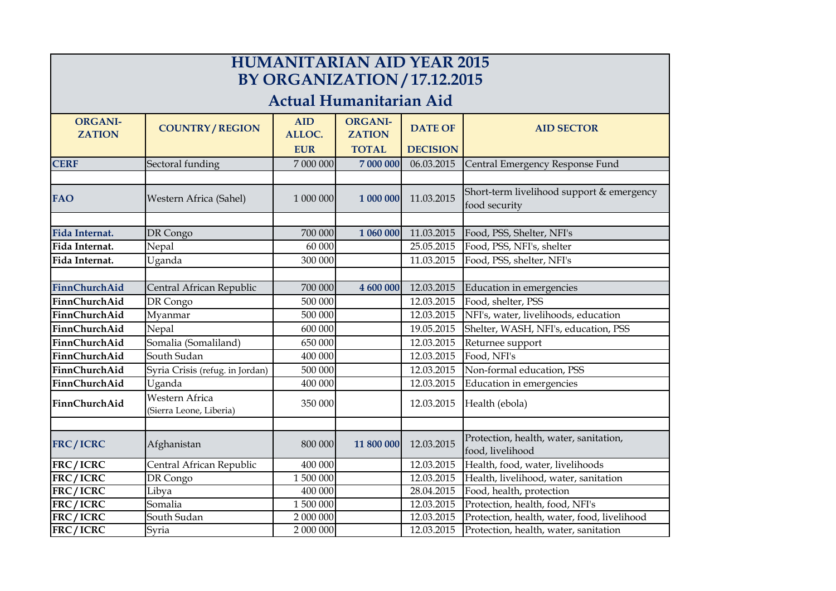| <b>HUMANITARIAN AID YEAR 2015</b><br><b>BY ORGANIZATION / 17.12.2015</b> |                                           |                      |                                 |                 |                                                            |  |  |
|--------------------------------------------------------------------------|-------------------------------------------|----------------------|---------------------------------|-----------------|------------------------------------------------------------|--|--|
| Actual Humanitarian Aid                                                  |                                           |                      |                                 |                 |                                                            |  |  |
| <b>ORGANI-</b><br><b>ZATION</b>                                          | <b>COUNTRY/REGION</b>                     | <b>AID</b><br>ALLOC. | <b>ORGANI-</b><br><b>ZATION</b> | <b>DATE OF</b>  | <b>AID SECTOR</b>                                          |  |  |
|                                                                          |                                           | <b>EUR</b>           | <b>TOTAL</b>                    | <b>DECISION</b> |                                                            |  |  |
| <b>CERF</b>                                                              | Sectoral funding                          | 7 000 000            | 7 000 000                       | 06.03.2015      | Central Emergency Response Fund                            |  |  |
|                                                                          |                                           |                      |                                 |                 |                                                            |  |  |
| <b>FAO</b>                                                               | Western Africa (Sahel)                    | 1 000 000            | 1 000 000                       | 11.03.2015      | Short-term livelihood support & emergency<br>food security |  |  |
|                                                                          |                                           |                      |                                 |                 |                                                            |  |  |
| <b>Fida Internat.</b>                                                    | DR Congo                                  | 700 000              | 1 060 000                       | 11.03.2015      | Food, PSS, Shelter, NFI's                                  |  |  |
| Fida Internat.                                                           | Nepal                                     | 60 000               |                                 | 25.05.2015      | Food, PSS, NFI's, shelter                                  |  |  |
| Fida Internat.                                                           | Uganda                                    | 300 000              |                                 | 11.03.2015      | Food, PSS, shelter, NFI's                                  |  |  |
|                                                                          |                                           |                      |                                 |                 |                                                            |  |  |
| <b>FinnChurchAid</b>                                                     | Central African Republic                  | 700 000              | 4 600 000                       | 12.03.2015      | Education in emergencies                                   |  |  |
| FinnChurchAid                                                            | DR Congo                                  | 500 000              |                                 | 12.03.2015      | Food, shelter, PSS                                         |  |  |
| FinnChurchAid                                                            | Myanmar                                   | 500 000              |                                 | 12.03.2015      | NFI's, water, livelihoods, education                       |  |  |
| FinnChurchAid                                                            | Nepal                                     | 600 000              |                                 | 19.05.2015      | Shelter, WASH, NFI's, education, PSS                       |  |  |
| FinnChurchAid                                                            | Somalia (Somaliland)                      | 650 000              |                                 | 12.03.2015      | Returnee support                                           |  |  |
| FinnChurchAid                                                            | South Sudan                               | 400 000              |                                 | 12.03.2015      | Food, NFI's                                                |  |  |
| FinnChurchAid                                                            | Syria Crisis (refug. in Jordan)           | 500 000              |                                 | 12.03.2015      | Non-formal education, PSS                                  |  |  |
| FinnChurchAid                                                            | Uganda                                    | 400 000              |                                 | 12.03.2015      | Education in emergencies                                   |  |  |
| FinnChurchAid                                                            | Western Africa<br>(Sierra Leone, Liberia) | 350 000              |                                 | 12.03.2015      | Health (ebola)                                             |  |  |
|                                                                          |                                           |                      |                                 |                 |                                                            |  |  |
| <b>FRC/ICRC</b>                                                          | Afghanistan                               | 800 000              | 11 800 000                      | 12.03.2015      | Protection, health, water, sanitation,<br>food, livelihood |  |  |
| FRC/ICRC                                                                 | Central African Republic                  | 400 000              |                                 | 12.03.2015      | Health, food, water, livelihoods                           |  |  |
| FRC/ICRC                                                                 | DR Congo                                  | 1 500 000            |                                 | 12.03.2015      | Health, livelihood, water, sanitation                      |  |  |
| FRC/ICRC                                                                 | Libya                                     | 400 000              |                                 | 28.04.2015      | Food, health, protection                                   |  |  |
| FRC/ICRC                                                                 | Somalia                                   | 1 500 000            |                                 | 12.03.2015      | Protection, health, food, NFI's                            |  |  |
| FRC/ICRC                                                                 | South Sudan                               | 2 000 000            |                                 | 12.03.2015      | Protection, health, water, food, livelihood                |  |  |
| FRC/ICRC                                                                 | Syria                                     | 2 000 000            |                                 | 12.03.2015      | Protection, health, water, sanitation                      |  |  |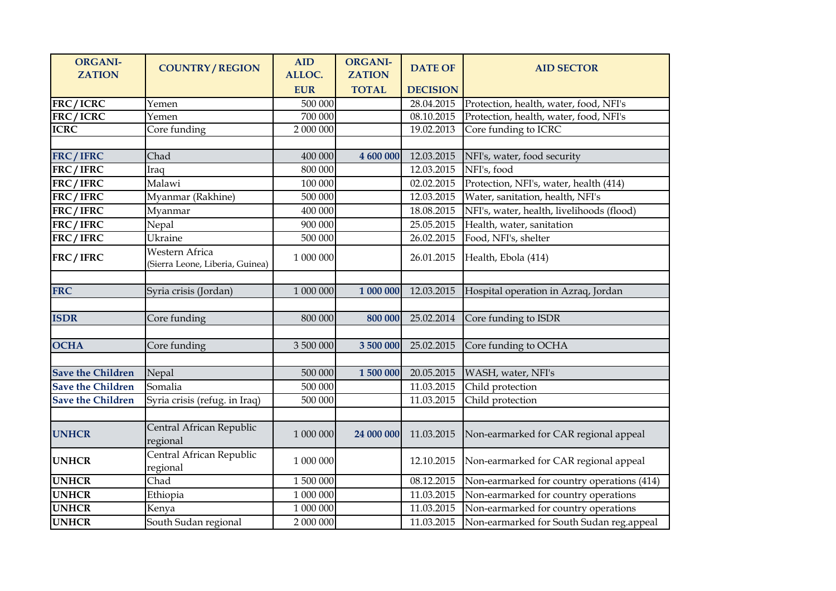| <b>ORGANI-</b><br><b>ZATION</b> | <b>COUNTRY/REGION</b>                             | <b>AID</b><br>ALLOC. | <b>ORGANI-</b><br><b>ZATION</b> | <b>DATE OF</b>  | <b>AID SECTOR</b>                          |
|---------------------------------|---------------------------------------------------|----------------------|---------------------------------|-----------------|--------------------------------------------|
|                                 |                                                   | <b>EUR</b>           | <b>TOTAL</b>                    | <b>DECISION</b> |                                            |
| FRC/ICRC                        | Yemen                                             | 500 000              |                                 | 28.04.2015      | Protection, health, water, food, NFI's     |
| FRC/ICRC                        | Yemen                                             | 700 000              |                                 | 08.10.2015      | Protection, health, water, food, NFI's     |
| <b>ICRC</b>                     | Core funding                                      | 2 000 000            |                                 | 19.02.2013      | Core funding to ICRC                       |
|                                 |                                                   |                      |                                 |                 |                                            |
| FRC/IFRC                        | Chad                                              | 400 000              | 4 600 000                       | 12.03.2015      | NFI's, water, food security                |
| FRC/IFRC                        | Iraq                                              | 800 000              |                                 | 12.03.2015      | NFI's, food                                |
| FRC/IFRC                        | Malawi                                            | 100 000              |                                 | 02.02.2015      | Protection, NFI's, water, health (414)     |
| FRC/IFRC                        | Myanmar (Rakhine)                                 | 500 000              |                                 | 12.03.2015      | Water, sanitation, health, NFI's           |
| FRC/IFRC                        | Myanmar                                           | 400 000              |                                 | 18.08.2015      | NFI's, water, health, livelihoods (flood)  |
| FRC/IFRC                        | Nepal                                             | 900 000              |                                 | 25.05.2015      | Health, water, sanitation                  |
| FRC/IFRC                        | Ukraine                                           | 500 000              |                                 | 26.02.2015      | Food, NFI's, shelter                       |
| FRC/IFRC                        | Western Africa<br>(Sierra Leone, Liberia, Guinea) | 1 000 000            |                                 | 26.01.2015      | Health, Ebola (414)                        |
|                                 |                                                   |                      |                                 |                 |                                            |
| <b>FRC</b>                      | Syria crisis (Jordan)                             | 1 000 000            | 1 000 000                       | 12.03.2015      | Hospital operation in Azraq, Jordan        |
|                                 |                                                   |                      |                                 |                 |                                            |
| <b>ISDR</b>                     | Core funding                                      | 800 000              | 800 000                         | 25.02.2014      | Core funding to ISDR                       |
|                                 |                                                   |                      |                                 |                 |                                            |
| <b>OCHA</b>                     | Core funding                                      | 3 500 000            | 3 500 000                       | 25.02.2015      | Core funding to OCHA                       |
|                                 |                                                   |                      |                                 |                 |                                            |
| <b>Save the Children</b>        | Nepal                                             | 500 000              | 1 500 000                       | 20.05.2015      | WASH, water, NFI's                         |
| <b>Save the Children</b>        | Somalia                                           | 500 000              |                                 | 11.03.2015      | Child protection                           |
| <b>Save the Children</b>        | Syria crisis (refug. in Iraq)                     | 500 000              |                                 | 11.03.2015      | Child protection                           |
|                                 |                                                   |                      |                                 |                 |                                            |
| <b>UNHCR</b>                    | Central African Republic<br>regional              | 1 000 000            | 24 000 000                      | 11.03.2015      | Non-earmarked for CAR regional appeal      |
| <b>UNHCR</b>                    | Central African Republic<br>regional              | 1 000 000            |                                 | 12.10.2015      | Non-earmarked for CAR regional appeal      |
| <b>UNHCR</b>                    | Chad                                              | 1 500 000            |                                 | 08.12.2015      | Non-earmarked for country operations (414) |
| <b>UNHCR</b>                    | Ethiopia                                          | 1 000 000            |                                 | 11.03.2015      | Non-earmarked for country operations       |
| <b>UNHCR</b>                    | Kenya                                             | 1 000 000            |                                 | 11.03.2015      | Non-earmarked for country operations       |
| <b>UNHCR</b>                    | South Sudan regional                              | 2 000 000            |                                 | 11.03.2015      | Non-earmarked for South Sudan reg.appeal   |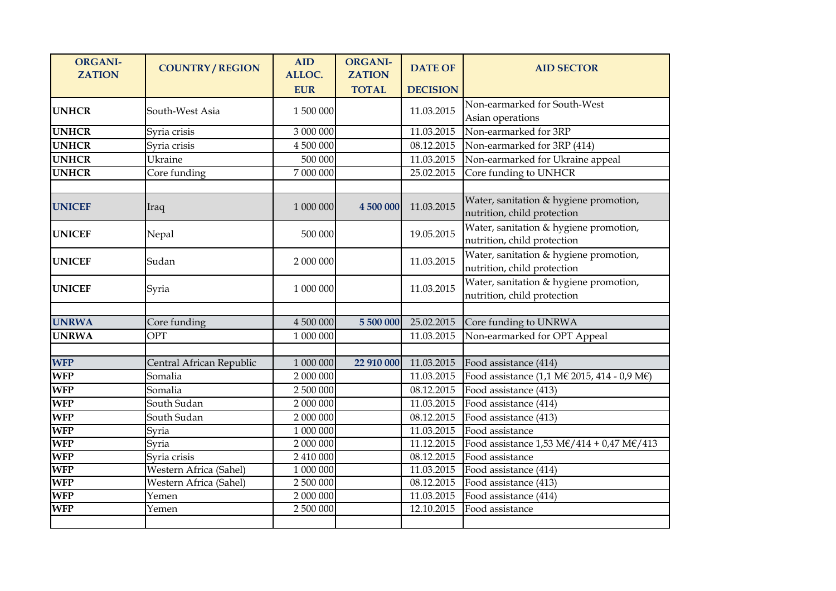| <b>ORGANI-</b><br><b>ZATION</b> | <b>COUNTRY/REGION</b>    | <b>AID</b><br>ALLOC. | <b>ORGANI-</b><br><b>ZATION</b> | <b>DATE OF</b>  | <b>AID SECTOR</b>                                                                                 |
|---------------------------------|--------------------------|----------------------|---------------------------------|-----------------|---------------------------------------------------------------------------------------------------|
|                                 |                          | <b>EUR</b>           | <b>TOTAL</b>                    | <b>DECISION</b> |                                                                                                   |
| <b>UNHCR</b>                    | South-West Asia          | 1 500 000            |                                 | 11.03.2015      | Non-earmarked for South-West<br>Asian operations                                                  |
| <b>UNHCR</b>                    | Syria crisis             | 3 000 000            |                                 | 11.03.2015      | Non-earmarked for 3RP                                                                             |
| <b>UNHCR</b>                    | Syria crisis             | 4 500 000            |                                 | 08.12.2015      | Non-earmarked for 3RP (414)                                                                       |
| <b>UNHCR</b>                    | Ukraine                  | 500 000              |                                 | 11.03.2015      | Non-earmarked for Ukraine appeal                                                                  |
| <b>UNHCR</b>                    | Core funding             | 7 000 000            |                                 | 25.02.2015      | Core funding to UNHCR                                                                             |
|                                 |                          |                      |                                 |                 |                                                                                                   |
| <b>UNICEF</b>                   | Iraq                     | 1 000 000            | 4 500 000                       | 11.03.2015      | Water, sanitation & hygiene promotion,<br>nutrition, child protection                             |
| <b>UNICEF</b>                   | Nepal                    | 500 000              |                                 | 19.05.2015      | Water, sanitation & hygiene promotion,<br>nutrition, child protection                             |
| <b>UNICEF</b>                   | Sudan                    | 2 000 000            |                                 | 11.03.2015      | Water, sanitation & hygiene promotion,<br>nutrition, child protection                             |
| <b>UNICEF</b>                   | Syria                    | 1 000 000            |                                 | 11.03.2015      | Water, sanitation & hygiene promotion,<br>nutrition, child protection                             |
|                                 |                          |                      |                                 |                 |                                                                                                   |
| <b>UNRWA</b>                    | Core funding             | 4 500 000            | 5 500 000                       | 25.02.2015      | Core funding to UNRWA                                                                             |
| <b>UNRWA</b>                    | <b>OPT</b>               | 1 000 000            |                                 | 11.03.2015      | Non-earmarked for OPT Appeal                                                                      |
|                                 |                          |                      |                                 |                 |                                                                                                   |
| <b>WFP</b>                      | Central African Republic | 1 000 000            | 22 910 000                      | 11.03.2015      | Food assistance (414)                                                                             |
| <b>WFP</b>                      | Somalia                  | 2 000 000            |                                 | 11.03.2015      | Food assistance (1,1 M€ 2015, 414 - 0,9 M€)                                                       |
| <b>WFP</b>                      | Somalia                  | 2 500 000            |                                 | 08.12.2015      | Food assistance (413)                                                                             |
| <b>WFP</b>                      | South Sudan              | 2 000 000            |                                 | 11.03.2015      | Food assistance (414)                                                                             |
| <b>WFP</b>                      | South Sudan              | 2 000 000            |                                 | 08.12.2015      | Food assistance (413)                                                                             |
| <b>WFP</b>                      | Syria                    | 1 000 000            |                                 | 11.03.2015      | Food assistance                                                                                   |
| <b>WFP</b>                      | Syria                    | 2 000 000            |                                 | 11.12.2015      | Food assistance $1,53 \text{ M}\text{\textsterling}/414 + 0,47 \text{ M}\text{\textsterling}/413$ |
| <b>WFP</b>                      | Syria crisis             | 2 410 000            |                                 | 08.12.2015      | Food assistance                                                                                   |
| <b>WFP</b>                      | Western Africa (Sahel)   | 1 000 000            |                                 | 11.03.2015      | Food assistance (414)                                                                             |
| <b>WFP</b>                      | Western Africa (Sahel)   | 2 500 000            |                                 | 08.12.2015      | Food assistance (413)                                                                             |
| <b>WFP</b>                      | Yemen                    | 2 000 000            |                                 | 11.03.2015      | Food assistance (414)                                                                             |
| <b>WFP</b>                      | Yemen                    | 2 500 000            |                                 | 12.10.2015      | Food assistance                                                                                   |
|                                 |                          |                      |                                 |                 |                                                                                                   |